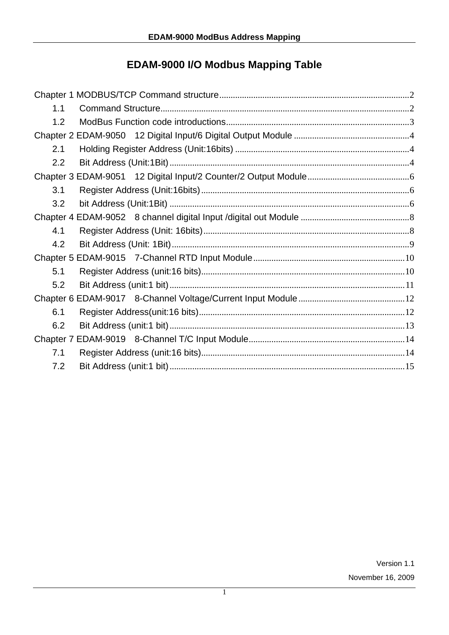# **EDAM-9000 I/O Modbus Mapping Table**

| 1.1 |
|-----|
| 1.2 |
|     |
| 2.1 |
| 2.2 |
|     |
| 3.1 |
| 3.2 |
|     |
| 4.1 |
| 4.2 |
|     |
| 5.1 |
| 5.2 |
|     |
| 6.1 |
| 6.2 |
|     |
| 7.1 |
| 7.2 |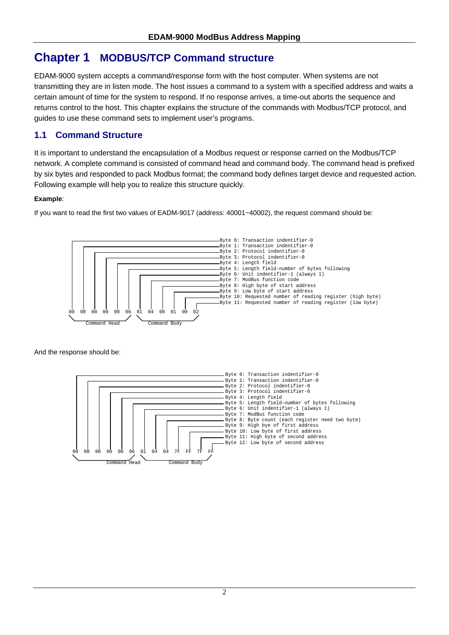# **Chapter 1 MODBUS/TCP Command structure**

EDAM-9000 system accepts a command/response form with the host computer. When systems are not transmitting they are in listen mode. The host issues a command to a system with a specified address and waits a certain amount of time for the system to respond. If no response arrives, a time-out aborts the sequence and returns control to the host. This chapter explains the structure of the commands with Modbus/TCP protocol, and guides to use these command sets to implement user's programs.

### **1.1 Command Structure**

It is important to understand the encapsulation of a Modbus request or response carried on the Modbus/TCP network. A complete command is consisted of command head and command body. The command head is prefixed by six bytes and responded to pack Modbus format; the command body defines target device and requested action. Following example will help you to realize this structure quickly.

### **Example**:

If you want to read the first two values of EADM-9017 (address: 40001~40002), the request command should be:



And the response should be:

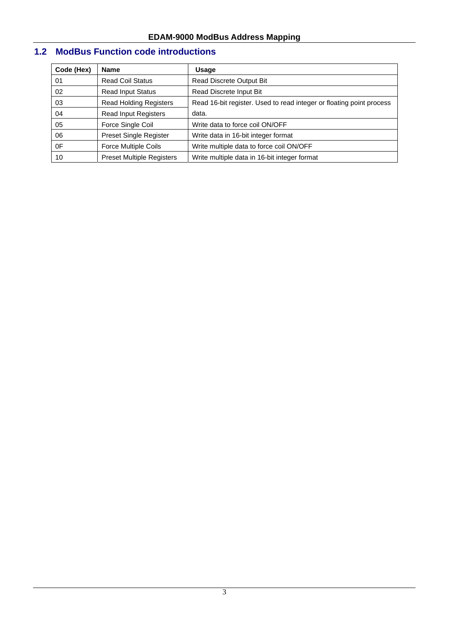# **1.2 ModBus Function code introductions**

| Code (Hex) | <b>Name</b>                      | <b>Usage</b>                                                         |
|------------|----------------------------------|----------------------------------------------------------------------|
| 01         | <b>Read Coil Status</b>          | <b>Read Discrete Output Bit</b>                                      |
| 02         | <b>Read Input Status</b>         | Read Discrete Input Bit                                              |
| 03         | <b>Read Holding Registers</b>    | Read 16-bit register. Used to read integer or floating point process |
| 04         | <b>Read Input Registers</b>      | data.                                                                |
| 05         | Force Single Coil                | Write data to force coil ON/OFF                                      |
| 06         | <b>Preset Single Register</b>    | Write data in 16-bit integer format                                  |
| 0F         | <b>Force Multiple Coils</b>      | Write multiple data to force coil ON/OFF                             |
| 10         | <b>Preset Multiple Registers</b> | Write multiple data in 16-bit integer format                         |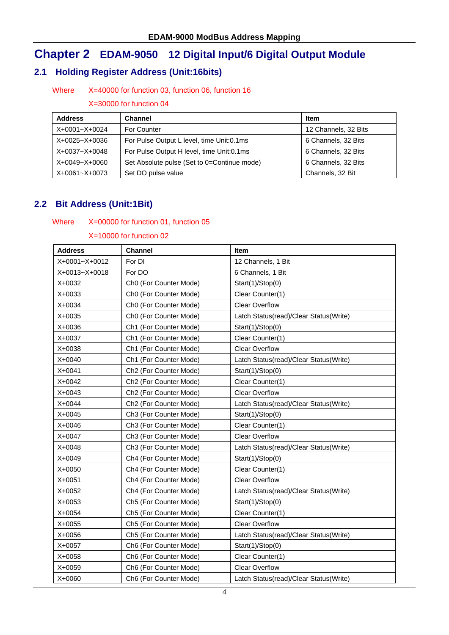# **Chapter 2 EDAM-9050 12 Digital Input/6 Digital Output Module**

### **2.1 Holding Register Address (Unit:16bits)**

### Where X=40000 for function 03, function 06, function 16

X=30000 for function 04

| <b>Address</b>    | <b>Channel</b>                              | <b>Item</b>          |
|-------------------|---------------------------------------------|----------------------|
| X+0001~X+0024     | For Counter                                 | 12 Channels, 32 Bits |
| $X+0025 - X+0036$ | For Pulse Output L level, time Unit: 0.1 ms | 6 Channels, 32 Bits  |
| X+0037~X+0048     | For Pulse Output H level, time Unit: 0.1 ms | 6 Channels, 32 Bits  |
| X+0049~X+0060     | Set Absolute pulse (Set to 0=Continue mode) | 6 Channels, 32 Bits  |
| X+0061~X+0073     | Set DO pulse value                          | Channels, 32 Bit     |

### **2.2 Bit Address (Unit:1Bit)**

#### Where X=00000 for function 01, function 05

| <b>Address</b> | <b>Channel</b>                     | Item                                   |
|----------------|------------------------------------|----------------------------------------|
| X+0001~X+0012  | For DI                             | 12 Channels, 1 Bit                     |
| X+0013~X+0018  | For DO                             | 6 Channels, 1 Bit                      |
| X+0032         | Ch0 (For Counter Mode)             | Start(1)/Stop(0)                       |
| X+0033         | Ch0 (For Counter Mode)             | Clear Counter(1)                       |
| X+0034         | Ch0 (For Counter Mode)             | <b>Clear Overflow</b>                  |
| X+0035         | Ch0 (For Counter Mode)             | Latch Status(read)/Clear Status(Write) |
| X+0036         | Ch1 (For Counter Mode)             | Start(1)/Stop(0)                       |
| X+0037         | Ch1 (For Counter Mode)             | Clear Counter(1)                       |
| X+0038         | Ch1 (For Counter Mode)             | <b>Clear Overflow</b>                  |
| X+0040         | Ch1 (For Counter Mode)             | Latch Status(read)/Clear Status(Write) |
| X+0041         | Ch2 (For Counter Mode)             | Start(1)/Stop(0)                       |
| X+0042         | Ch <sub>2</sub> (For Counter Mode) | Clear Counter(1)                       |
| X+0043         | Ch2 (For Counter Mode)             | <b>Clear Overflow</b>                  |
| X+0044         | Ch <sub>2</sub> (For Counter Mode) | Latch Status(read)/Clear Status(Write) |
| X+0045         | Ch3 (For Counter Mode)             | Start(1)/Stop(0)                       |
| X+0046         | Ch3 (For Counter Mode)             | Clear Counter(1)                       |
| X+0047         | Ch3 (For Counter Mode)             | <b>Clear Overflow</b>                  |
| X+0048         | Ch3 (For Counter Mode)             | Latch Status(read)/Clear Status(Write) |
| X+0049         | Ch4 (For Counter Mode)             | Start(1)/Stop(0)                       |
| X+0050         | Ch4 (For Counter Mode)             | Clear Counter(1)                       |
| X+0051         | Ch4 (For Counter Mode)             | <b>Clear Overflow</b>                  |
| X+0052         | Ch4 (For Counter Mode)             | Latch Status(read)/Clear Status(Write) |
| X+0053         | Ch5 (For Counter Mode)             | Start(1)/Stop(0)                       |
| X+0054         | Ch5 (For Counter Mode)             | Clear Counter(1)                       |
| X+0055         | Ch5 (For Counter Mode)             | <b>Clear Overflow</b>                  |
| X+0056         | Ch5 (For Counter Mode)             | Latch Status(read)/Clear Status(Write) |
| X+0057         | Ch6 (For Counter Mode)             | Start(1)/Stop(0)                       |
| X+0058         | Ch6 (For Counter Mode)             | Clear Counter(1)                       |
| X+0059         | Ch6 (For Counter Mode)             | <b>Clear Overflow</b>                  |
| X+0060         | Ch6 (For Counter Mode)             | Latch Status(read)/Clear Status(Write) |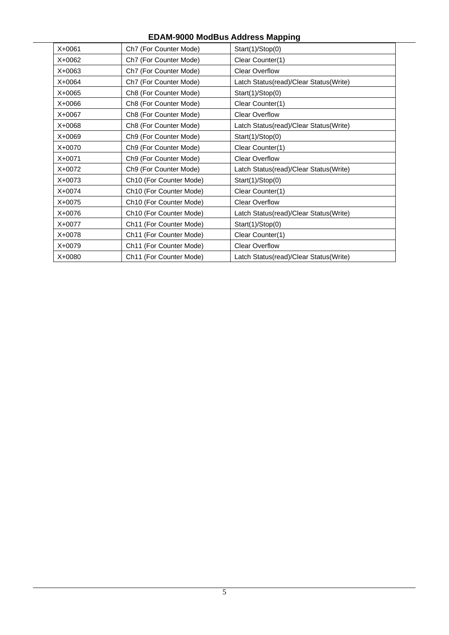| $X + 0061$ | Ch7 (For Counter Mode)              | Start(1)/Stop(0)                       |
|------------|-------------------------------------|----------------------------------------|
| $X+0062$   | Ch7 (For Counter Mode)              | Clear Counter(1)                       |
| $X+0063$   | Ch7 (For Counter Mode)              | <b>Clear Overflow</b>                  |
| X+0064     | Ch7 (For Counter Mode)              | Latch Status(read)/Clear Status(Write) |
| $X+0065$   | Ch8 (For Counter Mode)              | Start(1)/Stop(0)                       |
| X+0066     | Ch8 (For Counter Mode)              | Clear Counter(1)                       |
| X+0067     | Ch8 (For Counter Mode)              | <b>Clear Overflow</b>                  |
| $X + 0068$ | Ch8 (For Counter Mode)              | Latch Status(read)/Clear Status(Write) |
| X+0069     | Ch9 (For Counter Mode)              | Start(1)/Stop(0)                       |
| X+0070     | Ch9 (For Counter Mode)              | Clear Counter(1)                       |
| $X+0071$   | Ch9 (For Counter Mode)              | <b>Clear Overflow</b>                  |
| $X+0072$   | Ch9 (For Counter Mode)              | Latch Status(read)/Clear Status(Write) |
| $X+0073$   | Ch <sub>10</sub> (For Counter Mode) | Start(1)/Stop(0)                       |
| X+0074     | Ch <sub>10</sub> (For Counter Mode) | Clear Counter(1)                       |
| $X+0075$   | Ch <sub>10</sub> (For Counter Mode) | <b>Clear Overflow</b>                  |
| $X+0076$   | Ch <sub>10</sub> (For Counter Mode) | Latch Status(read)/Clear Status(Write) |
| X+0077     | Ch11 (For Counter Mode)             | Start(1)/Stop(0)                       |
| $X + 0078$ | Ch11 (For Counter Mode)             | Clear Counter(1)                       |
| $X+0079$   | Ch11 (For Counter Mode)             | <b>Clear Overflow</b>                  |
| X+0080     | Ch11 (For Counter Mode)             | Latch Status(read)/Clear Status(Write) |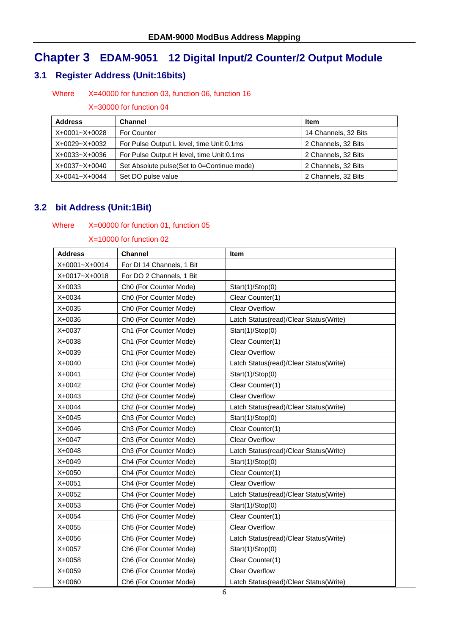# **Chapter 3 EDAM-9051 12 Digital Input/2 Counter/2 Output Module**

### **3.1 Register Address (Unit:16bits)**

#### Where X=40000 for function 03, function 06, function 16

#### X=30000 for function 04

| <b>Address</b> | <b>Channel</b>                              | <b>Item</b>          |
|----------------|---------------------------------------------|----------------------|
| X+0001~X+0028  | For Counter                                 | 14 Channels, 32 Bits |
| X+0029~X+0032  | For Pulse Output L level, time Unit:0.1ms   | 2 Channels, 32 Bits  |
| X+0033~X+0036  | For Pulse Output H level, time Unit: 0.1 ms | 2 Channels, 32 Bits  |
| X+0037~X+0040  | Set Absolute pulse (Set to 0=Continue mode) | 2 Channels, 32 Bits  |
| X+0041~X+0044  | Set DO pulse value                          | 2 Channels, 32 Bits  |

### **3.2 bit Address (Unit:1Bit)**

#### Where X=00000 for function 01, function 05

| Address       | <b>Channel</b>                     | Item                                   |
|---------------|------------------------------------|----------------------------------------|
| X+0001~X+0014 | For DI 14 Channels, 1 Bit          |                                        |
| X+0017~X+0018 | For DO 2 Channels, 1 Bit           |                                        |
| X+0033        | Ch0 (For Counter Mode)             | Start(1)/Stop(0)                       |
| X+0034        | Ch0 (For Counter Mode)             | Clear Counter(1)                       |
| X+0035        | Ch0 (For Counter Mode)             | <b>Clear Overflow</b>                  |
| X+0036        | Ch0 (For Counter Mode)             | Latch Status(read)/Clear Status(Write) |
| X+0037        | Ch1 (For Counter Mode)             | Start(1)/Stop(0)                       |
| X+0038        | Ch1 (For Counter Mode)             | Clear Counter(1)                       |
| X+0039        | Ch1 (For Counter Mode)             | <b>Clear Overflow</b>                  |
| X+0040        | Ch1 (For Counter Mode)             | Latch Status(read)/Clear Status(Write) |
| $X + 0041$    | Ch <sub>2</sub> (For Counter Mode) | Start(1)/Stop(0)                       |
| X+0042        | Ch2 (For Counter Mode)             | Clear Counter(1)                       |
| X+0043        | Ch <sub>2</sub> (For Counter Mode) | <b>Clear Overflow</b>                  |
| X+0044        | Ch <sub>2</sub> (For Counter Mode) | Latch Status(read)/Clear Status(Write) |
| X+0045        | Ch3 (For Counter Mode)             | Start(1)/Stop(0)                       |
| X+0046        | Ch3 (For Counter Mode)             | Clear Counter(1)                       |
| X+0047        | Ch3 (For Counter Mode)             | <b>Clear Overflow</b>                  |
| X+0048        | Ch3 (For Counter Mode)             | Latch Status(read)/Clear Status(Write) |
| X+0049        | Ch4 (For Counter Mode)             | Start(1)/Stop(0)                       |
| X+0050        | Ch4 (For Counter Mode)             | Clear Counter(1)                       |
| $X + 0051$    | Ch4 (For Counter Mode)             | <b>Clear Overflow</b>                  |
| X+0052        | Ch4 (For Counter Mode)             | Latch Status(read)/Clear Status(Write) |
| X+0053        | Ch5 (For Counter Mode)             | Start(1)/Stop(0)                       |
| X+0054        | Ch5 (For Counter Mode)             | Clear Counter(1)                       |
| X+0055        | Ch5 (For Counter Mode)             | <b>Clear Overflow</b>                  |
| X+0056        | Ch5 (For Counter Mode)             | Latch Status(read)/Clear Status(Write) |
| X+0057        | Ch6 (For Counter Mode)             | Start(1)/Stop(0)                       |
| X+0058        | Ch6 (For Counter Mode)             | Clear Counter(1)                       |
| X+0059        | Ch6 (For Counter Mode)             | <b>Clear Overflow</b>                  |
| X+0060        | Ch6 (For Counter Mode)             | Latch Status(read)/Clear Status(Write) |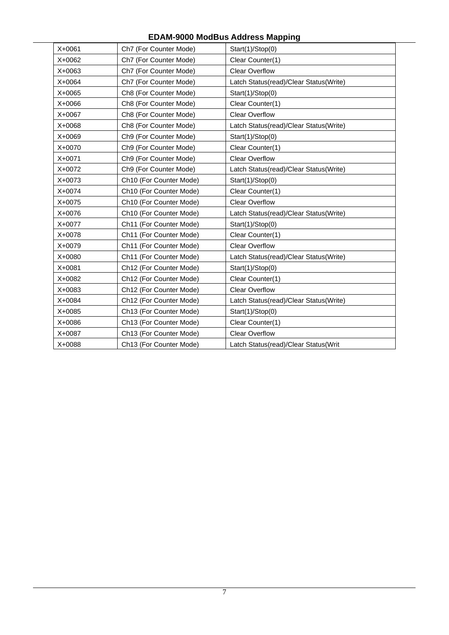| $X + 0061$ | Ch7 (For Counter Mode)              | Start(1)/Stop(0)                       |
|------------|-------------------------------------|----------------------------------------|
| X+0062     | Ch7 (For Counter Mode)              | Clear Counter(1)                       |
| $X+0063$   | Ch7 (For Counter Mode)              | <b>Clear Overflow</b>                  |
| $X + 0064$ | Ch7 (For Counter Mode)              | Latch Status(read)/Clear Status(Write) |
| X+0065     | Ch8 (For Counter Mode)              | Start(1)/Stop(0)                       |
| X+0066     | Ch8 (For Counter Mode)              | Clear Counter(1)                       |
| X+0067     | Ch8 (For Counter Mode)              | <b>Clear Overflow</b>                  |
| X+0068     | Ch8 (For Counter Mode)              | Latch Status(read)/Clear Status(Write) |
| X+0069     | Ch9 (For Counter Mode)              | Start(1)/Stop(0)                       |
| X+0070     | Ch9 (For Counter Mode)              | Clear Counter(1)                       |
| X+0071     | Ch9 (For Counter Mode)              | <b>Clear Overflow</b>                  |
| X+0072     | Ch9 (For Counter Mode)              | Latch Status(read)/Clear Status(Write) |
| X+0073     | Ch10 (For Counter Mode)             | Start(1)/Stop(0)                       |
| X+0074     | Ch10 (For Counter Mode)             | Clear Counter(1)                       |
| X+0075     | Ch10 (For Counter Mode)             | <b>Clear Overflow</b>                  |
| X+0076     | Ch10 (For Counter Mode)             | Latch Status(read)/Clear Status(Write) |
| X+0077     | Ch11 (For Counter Mode)             | Start(1)/Stop(0)                       |
| X+0078     | Ch11 (For Counter Mode)             | Clear Counter(1)                       |
| X+0079     | Ch11 (For Counter Mode)             | <b>Clear Overflow</b>                  |
| X+0080     | Ch11 (For Counter Mode)             | Latch Status(read)/Clear Status(Write) |
| $X + 0081$ | Ch12 (For Counter Mode)             | Start(1)/Stop(0)                       |
| X+0082     | Ch12 (For Counter Mode)             | Clear Counter(1)                       |
| X+0083     | Ch12 (For Counter Mode)             | <b>Clear Overflow</b>                  |
| X+0084     | Ch12 (For Counter Mode)             | Latch Status(read)/Clear Status(Write) |
| X+0085     | Ch13 (For Counter Mode)             | Start(1)/Stop(0)                       |
| X+0086     | Ch <sub>13</sub> (For Counter Mode) | Clear Counter(1)                       |
| X+0087     | Ch13 (For Counter Mode)             | <b>Clear Overflow</b>                  |
| X+0088     | Ch13 (For Counter Mode)             | Latch Status(read)/Clear Status(Writ   |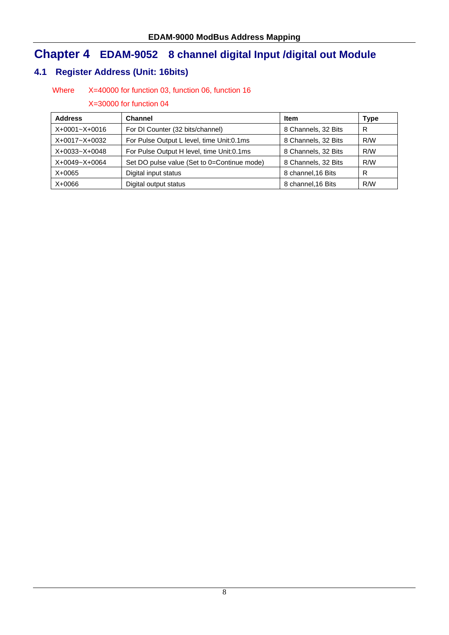# **Chapter 4 EDAM-9052 8 channel digital Input /digital out Module**

# **4.1 Register Address (Unit: 16bits)**

### Where X=40000 for function 03, function 06, function 16

| <b>Address</b>    | <b>Channel</b>                              | <b>Item</b>         | Type |
|-------------------|---------------------------------------------|---------------------|------|
| X+0001~X+0016     | For DI Counter (32 bits/channel)            | 8 Channels, 32 Bits | R    |
| $X+0017 - X+0032$ | For Pulse Output L level, time Unit:0.1ms   | 8 Channels, 32 Bits | R/W  |
| X+0033~X+0048     | For Pulse Output H level, time Unit:0.1ms   | 8 Channels, 32 Bits | R/W  |
| X+0049~X+0064     | Set DO pulse value (Set to 0=Continue mode) | 8 Channels, 32 Bits | R/W  |
| X+0065            | Digital input status                        | 8 channel, 16 Bits  | R    |
| $X+0066$          | Digital output status                       | 8 channel, 16 Bits  | R/W  |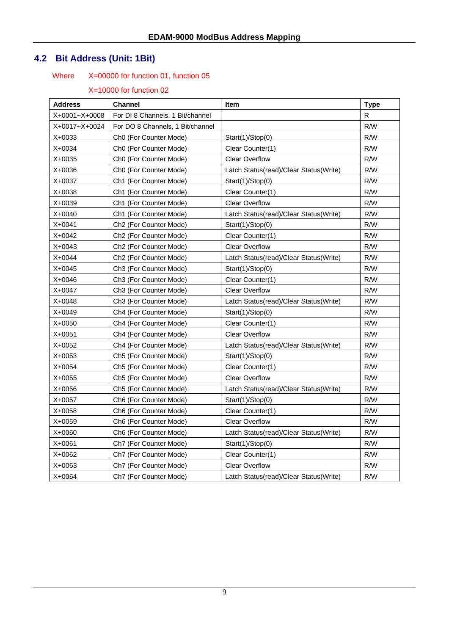# **4.2 Bit Address (Unit: 1Bit)**

# Where X=00000 for function 01, function 05

| <b>Address</b> | Channel                            | Item                                   | <b>Type</b> |
|----------------|------------------------------------|----------------------------------------|-------------|
| X+0001~X+0008  | For DI 8 Channels, 1 Bit/channel   |                                        | R           |
| X+0017~X+0024  | For DO 8 Channels, 1 Bit/channel   |                                        | R/W         |
| X+0033         | Ch0 (For Counter Mode)             | Start(1)/Stop(0)                       | R/W         |
| X+0034         | Ch0 (For Counter Mode)             | Clear Counter(1)                       | R/W         |
| X+0035         | Ch0 (For Counter Mode)             | <b>Clear Overflow</b>                  | R/W         |
| X+0036         | Ch0 (For Counter Mode)             | Latch Status(read)/Clear Status(Write) | R/W         |
| X+0037         | Ch1 (For Counter Mode)             | Start(1)/Stop(0)                       | R/W         |
| X+0038         | Ch1 (For Counter Mode)             | Clear Counter(1)                       | R/W         |
| X+0039         | Ch1 (For Counter Mode)             | <b>Clear Overflow</b>                  | R/W         |
| X+0040         | Ch1 (For Counter Mode)             | Latch Status(read)/Clear Status(Write) | R/W         |
| X+0041         | Ch <sub>2</sub> (For Counter Mode) | Start(1)/Stop(0)                       | R/W         |
| X+0042         | Ch <sub>2</sub> (For Counter Mode) | Clear Counter(1)                       | R/W         |
| X+0043         | Ch <sub>2</sub> (For Counter Mode) | <b>Clear Overflow</b>                  | R/W         |
| X+0044         | Ch <sub>2</sub> (For Counter Mode) | Latch Status(read)/Clear Status(Write) | R/W         |
| X+0045         | Ch3 (For Counter Mode)             | Start(1)/Stop(0)                       | R/W         |
| X+0046         | Ch3 (For Counter Mode)             | Clear Counter(1)                       | R/W         |
| X+0047         | Ch3 (For Counter Mode)             | <b>Clear Overflow</b>                  | R/W         |
| X+0048         | Ch3 (For Counter Mode)             | Latch Status(read)/Clear Status(Write) | R/W         |
| X+0049         | Ch4 (For Counter Mode)             | Start(1)/Stop(0)                       | R/W         |
| X+0050         | Ch4 (For Counter Mode)             | Clear Counter(1)                       | R/W         |
| X+0051         | Ch4 (For Counter Mode)             | <b>Clear Overflow</b>                  | R/W         |
| X+0052         | Ch4 (For Counter Mode)             | Latch Status(read)/Clear Status(Write) | R/W         |
| X+0053         | Ch5 (For Counter Mode)             | Start(1)/Stop(0)                       | R/W         |
| X+0054         | Ch5 (For Counter Mode)             | Clear Counter(1)                       | R/W         |
| X+0055         | Ch5 (For Counter Mode)             | <b>Clear Overflow</b>                  | R/W         |
| X+0056         | Ch5 (For Counter Mode)             | Latch Status(read)/Clear Status(Write) | R/W         |
| X+0057         | Ch6 (For Counter Mode)             | Start(1)/Stop(0)                       | R/W         |
| X+0058         | Ch6 (For Counter Mode)             | Clear Counter(1)                       | R/W         |
| X+0059         | Ch6 (For Counter Mode)             | <b>Clear Overflow</b>                  | R/W         |
| X+0060         | Ch6 (For Counter Mode)             | Latch Status(read)/Clear Status(Write) | R/W         |
| X+0061         | Ch7 (For Counter Mode)             | Start(1)/Stop(0)                       | R/W         |
| X+0062         | Ch7 (For Counter Mode)             | Clear Counter(1)                       | R/W         |
| X+0063         | Ch7 (For Counter Mode)             | <b>Clear Overflow</b>                  | R/W         |
| X+0064         | Ch7 (For Counter Mode)             | Latch Status(read)/Clear Status(Write) | R/W         |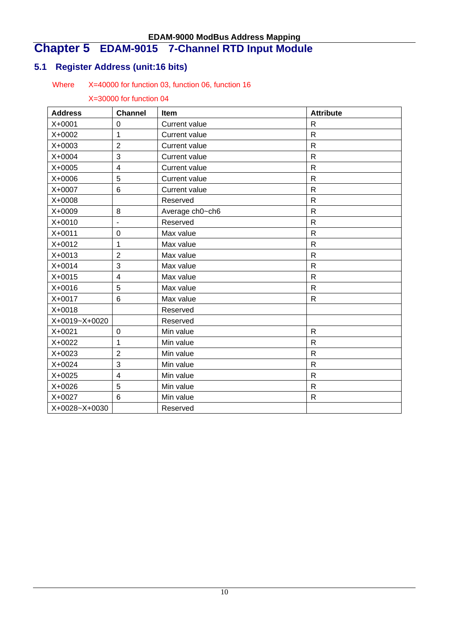# **Chapter 5 EDAM-9015 7-Channel RTD Input Module**

# **5.1 Register Address (unit:16 bits)**

### Where X=40000 for function 03, function 06, function 16

| <b>Address</b> | <b>Channel</b> | Item                 | <b>Attribute</b> |
|----------------|----------------|----------------------|------------------|
| X+0001         | $\mathbf 0$    | <b>Current value</b> | $\mathsf{R}$     |
| X+0002         | 1              | <b>Current value</b> | $\mathsf{R}$     |
| X+0003         | $\overline{2}$ | <b>Current value</b> | $\mathsf{R}$     |
| X+0004         | 3              | <b>Current value</b> | $\mathsf{R}$     |
| X+0005         | 4              | Current value        | $\mathsf{R}$     |
| X+0006         | 5              | <b>Current value</b> | $\mathsf{R}$     |
| X+0007         | 6              | <b>Current value</b> | $\mathsf{R}$     |
| X+0008         |                | Reserved             | $\mathsf{R}$     |
| X+0009         | 8              | Average ch0~ch6      | $\mathsf{R}$     |
| X+0010         | ä,             | Reserved             | $\mathsf{R}$     |
| X+0011         | $\mathbf 0$    | Max value            | $\mathsf{R}$     |
| X+0012         | 1              | Max value            | $\mathsf{R}$     |
| X+0013         | $\overline{2}$ | Max value            | $\mathsf{R}$     |
| X+0014         | 3              | Max value            | $\mathsf{R}$     |
| X+0015         | $\overline{4}$ | Max value            | $\mathsf{R}$     |
| X+0016         | 5              | Max value            | $\mathsf{R}$     |
| X+0017         | 6              | Max value            | $\mathsf{R}$     |
| X+0018         |                | Reserved             |                  |
| X+0019~X+0020  |                | Reserved             |                  |
| X+0021         | $\mathbf 0$    | Min value            | $\mathsf{R}$     |
| X+0022         | 1              | Min value            | ${\sf R}$        |
| X+0023         | $\overline{2}$ | Min value            | $\mathsf{R}$     |
| X+0024         | 3              | Min value            | $\mathsf{R}$     |
| X+0025         | 4              | Min value            | $\mathsf{R}$     |
| X+0026         | 5              | Min value            | $\mathsf{R}$     |
| X+0027         | 6              | Min value            | $\mathsf{R}$     |
| X+0028~X+0030  |                | Reserved             |                  |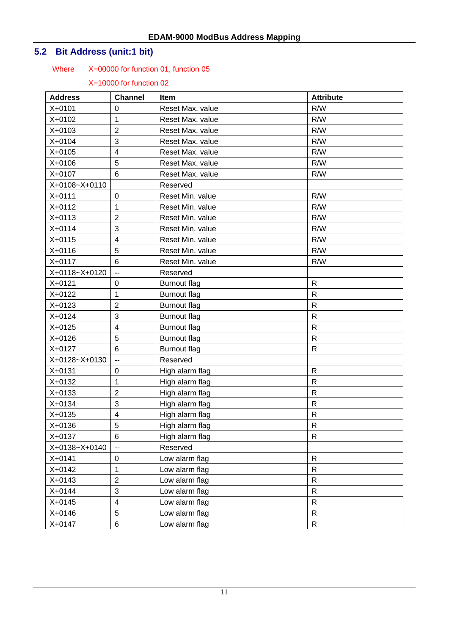# **5.2 Bit Address (unit:1 bit)**

### Where X=00000 for function 01, function 05

| <b>Address</b> | <b>Channel</b>           | Item                | <b>Attribute</b> |
|----------------|--------------------------|---------------------|------------------|
| X+0101         | $\mathbf 0$              | Reset Max. value    | R/W              |
| X+0102         | 1                        | Reset Max. value    | R/W              |
| X+0103         | $\overline{2}$           | Reset Max, value    | R/W              |
| X+0104         | 3                        | Reset Max. value    | R/W              |
| X+0105         | $\overline{4}$           | Reset Max. value    | R/W              |
| X+0106         | 5                        | Reset Max. value    | R/W              |
| X+0107         | $6\phantom{1}$           | Reset Max. value    | R/W              |
| X+0108~X+0110  |                          | Reserved            |                  |
| X+0111         | $\mathbf 0$              | Reset Min. value    | R/W              |
| X+0112         | 1                        | Reset Min. value    | R/W              |
| X+0113         | $\overline{2}$           | Reset Min. value    | R/W              |
| $X + 0114$     | 3                        | Reset Min. value    | R/W              |
| X+0115         | $\overline{4}$           | Reset Min. value    | R/W              |
| X+0116         | 5                        | Reset Min. value    | R/W              |
| $X + 0117$     | 6                        | Reset Min. value    | R/W              |
| X+0118~X+0120  | $\overline{\phantom{a}}$ | Reserved            |                  |
| X+0121         | 0                        | <b>Burnout flag</b> | $\mathsf{R}$     |
| X+0122         | 1                        | <b>Burnout flag</b> | $\mathsf{R}$     |
| X+0123         | $\overline{2}$           | <b>Burnout flag</b> | $\mathsf{R}$     |
| X+0124         | 3                        | <b>Burnout flag</b> | $\mathsf{R}$     |
| X+0125         | $\overline{4}$           | <b>Burnout flag</b> | $\mathsf{R}$     |
| X+0126         | 5                        | <b>Burnout flag</b> | $\mathsf{R}$     |
| X+0127         | $6\phantom{1}6$          | <b>Burnout flag</b> | $\mathsf{R}$     |
| X+0128~X+0130  | $\mathbf{u}$             | Reserved            |                  |
| X+0131         | $\pmb{0}$                | High alarm flag     | $\mathsf{R}$     |
| X+0132         | 1                        | High alarm flag     | $\mathsf{R}$     |
| X+0133         | $\overline{2}$           | High alarm flag     | $\mathsf{R}$     |
| X+0134         | 3                        | High alarm flag     | $\mathsf{R}$     |
| X+0135         | $\overline{4}$           | High alarm flag     | $\mathsf{R}$     |
| $X + 0136$     | 5                        | High alarm flag     | $\mathsf{R}$     |
| X+0137         | 6                        | High alarm flag     | R                |
| X+0138~X+0140  | $\overline{a}$           | Reserved            |                  |
| X+0141         | 0                        | Low alarm flag      | ${\sf R}$        |
| X+0142         | 1                        | Low alarm flag      | $\mathsf{R}$     |
| X+0143         | $\overline{2}$           | Low alarm flag      | $\mathsf{R}$     |
| X+0144         | 3                        | Low alarm flag      | $\mathsf{R}$     |
| X+0145         | $\overline{\mathbf{4}}$  | Low alarm flag      | $\mathsf{R}$     |
| X+0146         | $\mathbf 5$              | Low alarm flag      | R                |
| X+0147         | $\,6$                    | Low alarm flag      | $\mathsf{R}$     |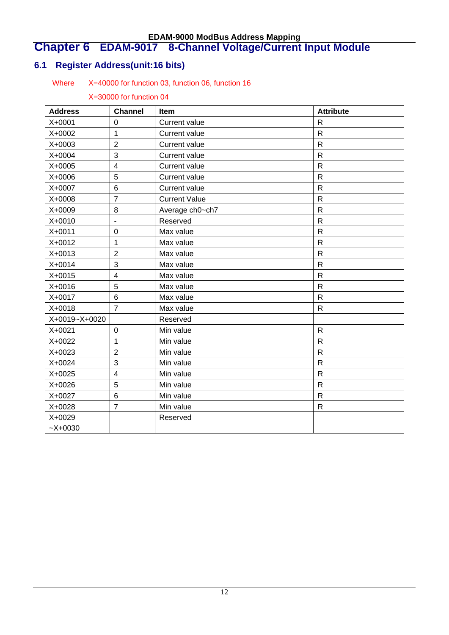### **Chapter 6 EDAM-9017 8-Channel Voltage/Current Input Module**

# **6.1 Register Address(unit:16 bits)**

### Where X=40000 for function 03, function 06, function 16

| <b>Address</b> | <b>Channel</b>           | Item                 | <b>Attribute</b> |
|----------------|--------------------------|----------------------|------------------|
| X+0001         | 0                        | <b>Current value</b> | $\mathsf{R}$     |
| X+0002         | $\mathbf{1}$             | <b>Current value</b> | $\mathsf{R}$     |
| X+0003         | $\overline{2}$           | Current value        | $\mathsf{R}$     |
| X+0004         | 3                        | <b>Current value</b> | $\mathsf{R}$     |
| X+0005         | $\overline{\mathbf{4}}$  | <b>Current value</b> | $\mathsf{R}$     |
| X+0006         | 5                        | <b>Current value</b> | $\mathsf{R}$     |
| X+0007         | 6                        | <b>Current value</b> | $\mathsf{R}$     |
| X+0008         | $\overline{7}$           | <b>Current Value</b> | $\mathsf{R}$     |
| X+0009         | 8                        | Average ch0~ch7      | $\mathsf{R}$     |
| X+0010         | $\overline{\phantom{a}}$ | Reserved             | $\mathsf{R}$     |
| X+0011         | $\overline{0}$           | Max value            | $\mathsf{R}$     |
| X+0012         | 1                        | Max value            | $\mathsf{R}$     |
| X+0013         | $\overline{2}$           | Max value            | $\mathsf{R}$     |
| X+0014         | 3                        | Max value            | ${\sf R}$        |
| X+0015         | $\overline{\mathbf{4}}$  | Max value            | $\mathsf{R}$     |
| X+0016         | 5                        | Max value            | $\mathsf{R}$     |
| X+0017         | 6                        | Max value            | $\mathsf{R}$     |
| X+0018         | $\overline{7}$           | Max value            | $\mathsf{R}$     |
| X+0019~X+0020  |                          | Reserved             |                  |
| X+0021         | 0                        | Min value            | $\mathsf{R}$     |
| X+0022         | $\mathbf{1}$             | Min value            | $\mathsf{R}$     |
| X+0023         | $\overline{2}$           | Min value            | $\mathsf{R}$     |
| X+0024         | 3                        | Min value            | $\mathsf{R}$     |
| X+0025         | $\overline{4}$           | Min value            | $\mathsf{R}$     |
| X+0026         | 5                        | Min value            | $\mathsf{R}$     |
| X+0027         | 6                        | Min value            | $\mathsf{R}$     |
| X+0028         | $\overline{7}$           | Min value            | $\mathsf{R}$     |
| X+0029         |                          | Reserved             |                  |
| $~2X+0030$     |                          |                      |                  |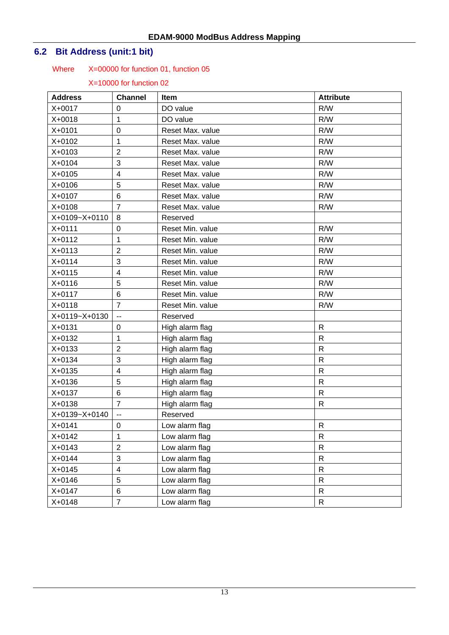# **6.2 Bit Address (unit:1 bit)**

### Where X=00000 for function 01, function 05

| <b>Address</b> | <b>Channel</b>          | <b>Item</b>      | <b>Attribute</b> |
|----------------|-------------------------|------------------|------------------|
| X+0017         | 0                       | DO value         | R/W              |
| X+0018         | 1                       | DO value         | R/W              |
| $X + 0101$     | 0                       | Reset Max. value | R/W              |
| X+0102         | 1                       | Reset Max. value | R/W              |
| X+0103         | $\overline{2}$          | Reset Max. value | R/W              |
| X+0104         | 3                       | Reset Max. value | R/W              |
| X+0105         | 4                       | Reset Max. value | R/W              |
| X+0106         | 5                       | Reset Max. value | R/W              |
| X+0107         | 6                       | Reset Max. value | R/W              |
| X+0108         | $\overline{7}$          | Reset Max. value | R/W              |
| X+0109~X+0110  | 8                       | Reserved         |                  |
| X+0111         | 0                       | Reset Min. value | R/W              |
| X+0112         | 1                       | Reset Min. value | R/W              |
| $X + 0113$     | $\overline{2}$          | Reset Min. value | R/W              |
| $X + 0114$     | 3                       | Reset Min. value | R/W              |
| X+0115         | 4                       | Reset Min. value | R/W              |
| X+0116         | 5                       | Reset Min. value | R/W              |
| X+0117         | 6                       | Reset Min. value | R/W              |
| $X + 0118$     | $\overline{7}$          | Reset Min. value | R/W              |
| X+0119~X+0130  | $\overline{a}$          | Reserved         |                  |
| X+0131         | 0                       | High alarm flag  | R                |
| X+0132         | 1                       | High alarm flag  | $\mathsf{R}$     |
| X+0133         | $\overline{2}$          | High alarm flag  | ${\sf R}$        |
| X+0134         | 3                       | High alarm flag  | ${\sf R}$        |
| X+0135         | $\overline{\mathbf{4}}$ | High alarm flag  | $\mathsf{R}$     |
| X+0136         | 5                       | High alarm flag  | R                |
| X+0137         | 6                       | High alarm flag  | $\mathsf{R}$     |
| X+0138         | $\overline{7}$          | High alarm flag  | $\mathsf{R}$     |
| X+0139~X+0140  | --                      | Reserved         |                  |
| $X + 0141$     | $\mathbf 0$             | Low alarm flag   | R                |
| X+0142         | 1                       | Low alarm flag   | $\mathsf{R}$     |
| X+0143         | $\overline{2}$          | Low alarm flag   | $\mathsf{R}$     |
| X+0144         | 3                       | Low alarm flag   | $\mathsf{R}$     |
| X+0145         | $\overline{\mathbf{4}}$ | Low alarm flag   | ${\sf R}$        |
| X+0146         | 5                       | Low alarm flag   | ${\sf R}$        |
| X+0147         | 6                       | Low alarm flag   | ${\sf R}$        |
| X+0148         | $\overline{7}$          | Low alarm flag   | ${\sf R}$        |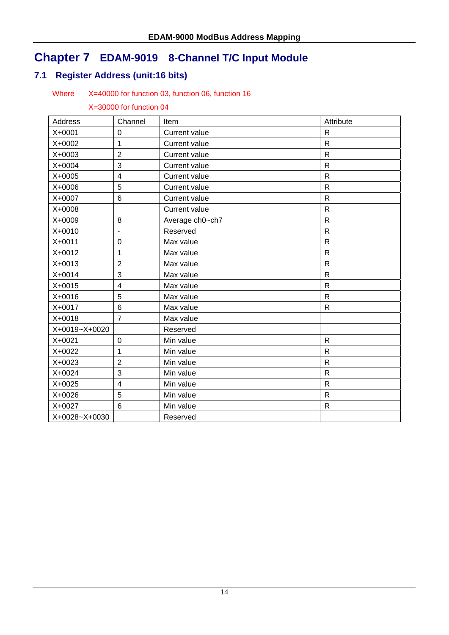# **Chapter 7 EDAM-9019 8-Channel T/C Input Module**

# **7.1 Register Address (unit:16 bits)**

#### Where X=40000 for function 03, function 06, function 16

| Address       | Channel                  | Item                 | Attribute               |
|---------------|--------------------------|----------------------|-------------------------|
| X+0001        | 0                        | <b>Current value</b> | $\mathsf{R}$            |
| X+0002        | 1                        | <b>Current value</b> | R                       |
| X+0003        | $\overline{2}$           | <b>Current value</b> | $\mathsf{R}$            |
| X+0004        | 3                        | <b>Current value</b> | $\mathsf{R}$            |
| X+0005        | $\overline{\mathbf{4}}$  | <b>Current value</b> | $\overline{R}$          |
| X+0006        | 5                        | <b>Current value</b> | $\mathsf{R}$            |
| X+0007        | $\,6$                    | <b>Current value</b> | $\mathsf{R}$            |
| X+0008        |                          | <b>Current value</b> | $\mathsf{R}$            |
| X+0009        | 8                        | Average ch0~ch7      | $\mathsf{R}$            |
| X+0010        | $\overline{\phantom{0}}$ | Reserved             | $\mathsf{R}$            |
| X+0011        | $\mathbf 0$              | Max value            | R                       |
| X+0012        | 1                        | Max value            | $\mathsf{R}$            |
| X+0013        | $\overline{2}$           | Max value            | $\mathsf{R}$            |
| X+0014        | 3                        | Max value            | $\mathsf{R}$            |
| X+0015        | $\overline{4}$           | Max value            | R                       |
| X+0016        | 5                        | Max value            | $\mathsf{R}$            |
| X+0017        | 6                        | Max value            | $\mathsf{R}$            |
| X+0018        | $\overline{7}$           | Max value            |                         |
| X+0019~X+0020 |                          | Reserved             |                         |
| X+0021        | $\mathbf 0$              | Min value            | $\mathsf{R}$            |
| X+0022        | 1                        | Min value            | $\mathsf{R}$            |
| X+0023        | $\overline{2}$           | Min value            | $\overline{\mathsf{R}}$ |
| X+0024        | 3                        | Min value            | $\mathsf{R}$            |
| X+0025        | $\overline{4}$           | Min value            | $\mathsf{R}$            |
| X+0026        | 5                        | Min value            | $\mathsf{R}$            |
| X+0027        | 6                        | Min value            | R                       |
| X+0028~X+0030 |                          | Reserved             |                         |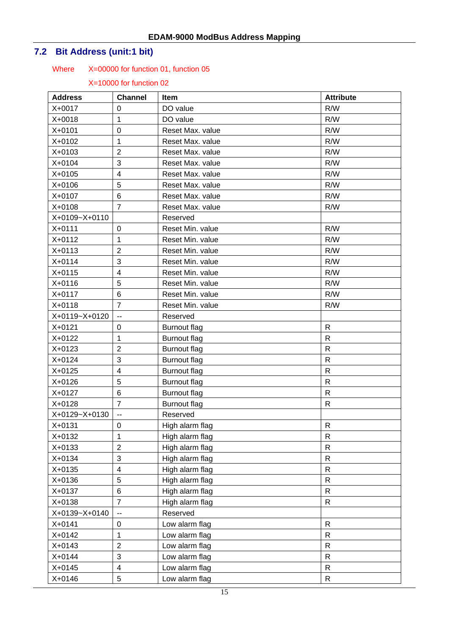# **7.2 Bit Address (unit:1 bit)**

### Where X=00000 for function 01, function 05

| <b>Address</b> | <b>Channel</b>           | Item                | <b>Attribute</b> |
|----------------|--------------------------|---------------------|------------------|
| X+0017         | 0                        | DO value            | R/W              |
| X+0018         | 1                        | DO value            | R/W              |
| X+0101         | 0                        | Reset Max. value    | R/W              |
| X+0102         | 1                        | Reset Max. value    | R/W              |
| X+0103         | $\overline{2}$           | Reset Max. value    | R/W              |
| X+0104         | 3                        | Reset Max. value    | R/W              |
| X+0105         | 4                        | Reset Max. value    | R/W              |
| X+0106         | 5                        | Reset Max. value    | R/W              |
| X+0107         | 6                        | Reset Max. value    | R/W              |
| X+0108         | $\overline{7}$           | Reset Max. value    | R/W              |
| X+0109~X+0110  |                          | Reserved            |                  |
| X+0111         | $\mathbf 0$              | Reset Min. value    | R/W              |
| X+0112         | 1                        | Reset Min. value    | R/W              |
| X+0113         | $\overline{2}$           | Reset Min. value    | R/W              |
| X+0114         | 3                        | Reset Min. value    | R/W              |
| X+0115         | $\overline{\mathbf{4}}$  | Reset Min. value    | R/W              |
| X+0116         | 5                        | Reset Min. value    | R/W              |
| X+0117         | 6                        | Reset Min. value    | R/W              |
| X+0118         | $\overline{7}$           | Reset Min. value    | R/W              |
| X+0119~X+0120  | --                       | Reserved            |                  |
| X+0121         | $\mathbf 0$              | <b>Burnout flag</b> | $\mathsf{R}$     |
| X+0122         | 1                        | <b>Burnout flag</b> | $\mathsf{R}$     |
| X+0123         | $\overline{2}$           | <b>Burnout flag</b> | $\mathsf{R}$     |
| X+0124         | 3                        | <b>Burnout flag</b> | $\mathsf{R}$     |
| X+0125         | 4                        | <b>Burnout flag</b> | $\mathsf{R}$     |
| X+0126         | 5                        | <b>Burnout flag</b> | $\mathsf{R}$     |
| X+0127         | 6                        | <b>Burnout flag</b> | $\mathsf{R}$     |
| X+0128         | $\overline{7}$           | <b>Burnout flag</b> | $\mathsf{R}$     |
| X+0129~X+0130  | --                       | Reserved            |                  |
| $X + 0131$     | $\mathbf 0$              | High alarm flag     | $\mathsf{R}$     |
| X+0132         | 1                        | High alarm flag     | $\mathsf{R}$     |
| X+0133         | $\overline{2}$           | High alarm flag     | $\mathsf{R}$     |
| X+0134         | 3                        | High alarm flag     | ${\sf R}$        |
| X+0135         | $\overline{\mathbf{4}}$  | High alarm flag     | ${\sf R}$        |
| X+0136         | 5                        | High alarm flag     | ${\sf R}$        |
| X+0137         | 6                        | High alarm flag     | $\mathsf{R}$     |
| X+0138         | $\overline{7}$           | High alarm flag     | $\mathsf{R}$     |
| X+0139~X+0140  | $\overline{\phantom{a}}$ | Reserved            |                  |
| X+0141         | 0                        | Low alarm flag      | $\mathsf{R}$     |
| X+0142         | 1                        | Low alarm flag      | $\mathsf{R}$     |
| X+0143         | $\overline{2}$           | Low alarm flag      | $\mathsf{R}$     |
| X+0144         | 3                        | Low alarm flag      | $\mathsf{R}$     |
| X+0145         | 4                        | Low alarm flag      | R                |
| X+0146         | 5                        | Low alarm flag      | $\mathsf{R}$     |